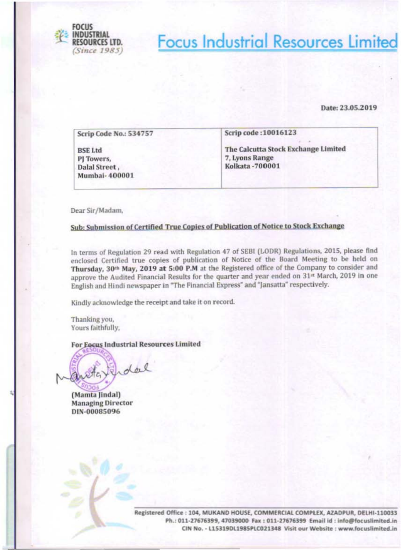

# **Focus Industrial Resources Limited**

### Date: 23.05.2019

| Scrip Code No.: 534757                                         | Scrip code: 10016123                                                             |
|----------------------------------------------------------------|----------------------------------------------------------------------------------|
| <b>BSE Ltd</b><br>PJ Towers,<br>Dalal Street,<br>Mumbai-400001 | The Calcutta Stock Exchange Limited<br>7, Lyons Range<br><b>Kolkata - 700001</b> |

Dear Sir/Madam,

### Sub: Submission of Certified True Copies of Publication of Notice to Stock Exchange

In terms of Regulation 29 read with Regulation 47 of SEBI (LODR) Regulations, 2015, please find enclosed Certified true copies of publication of Notice of the Board Meeting to be held on Thursday, 30th May, 2019 at 5:00 P.M at the Registered office of the Company to consider and approve the Audited Financial Results for the quarter and year ended on 31st March, 2019 in one English and Hindi newspaper in "The Financial Express" and "Jansatta" respectively.

Kindly acknowledge the receipt and take it on record.

Thanking you, Yours faithfully,

For Eocus Industrial Resources Limited

Enderl

(Mamta Jindal) **Managing Director** DIN-00085096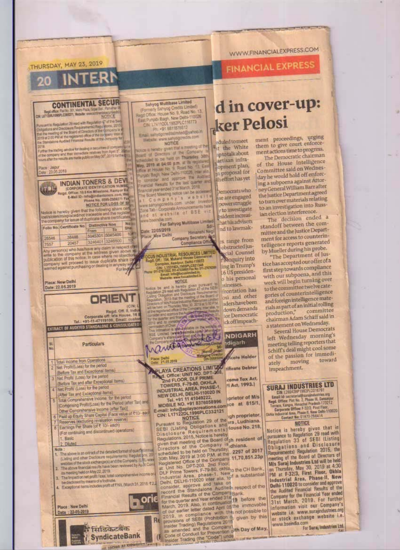THURSDAY, MAY 23, 2019

## WWW.FINANCIALEXPRESS.COM

# **FINANCIAL EXPRESS**

**CONTINENTAL SECUR** 

Nego officer, Fax No. 301, Media Paul Angel of<br>CNN LATTERIL/1090PLC000371, Vista Re: www.accidre

Pursuant to Regulation 29 read with Regulation 17 of the Second State of the Second State International Regulation 17 of the Second State International Regulation 17 of the Second State International Regulation 17 of the U

uffer the mains wholes for dealing in securities of company to<br>I the company and their immediate relatives from April 57, 201<br>civit after the results are made publicated by 30°, 2019 for the

нисе: Jeipur<br>sta 23.05.2018

70

**INDIAN TONERS & DEVI CORPORATE IDENTIFICATION NUMBER**<br>Regis Office: 18.5 Km Milestane, Ramyor Ex Watch E-Mail ID - Info@in Phone No. 0555-2584271 Fax NOTICE FOR LOSS OF SH

Notice is hereby given that the following share cert<br>lost stolen misplaced inot traceable and the registal<br>the company for issue of duplicate share certificates Folio No. Certificate No. Distinctive Nos Sha

From To To 108 38446 26546 3246401 3246500  $10<sup>2</sup>$ 20457 Any person(e) who has twee any cisier in respect of<br>who so the company at the address given above as<br>publication of the notice, in case where no objections<br>pompany will proceed to issue duplicate share of<br>warned against pu

Place: New Delhi Date: 22.05.2019 **ORIENT** gid. Off. 8, Indi

Corporate off: Iris House, 16 b<br>Tel.: +91-11-47119100, Email: custor EXTRACT OF AUDITED STANDALONE & CONSOLIDATED

Particulars

围

**Total Income from Operations** 

- Net Profit/(Loss) for the period  $\overline{2}$
- (Before Tax and Exceptional Items) Net Profit/ (Loss) for the period
- (Before Tax and after Exceptional Items)
- Net Profit/ (Lose) for the period z
- (After Tax and Exceptional Items)
- Total Comprehensive Income, for the period [Comprising Profit/(Loss) for the Period (after Tax) and  $\overline{5}$ Other Comprehensive Income (after Tax)]
- Paid up Equity Share Capital (Face value of ₹10/- each 6
- 
- 7 Reserves (excluding revaluation reserve)<br>8 Earnings Par Share (of ₹ 10f- earth) (For continuing and discontinued operations) Basic
- 2. Diluted
- Note The above is an extract of the detailed format of quarterning (Listing and other Declosure requirements) Regulations 20
- The above financial results have been reviewed by Au-Jr. Cor  $\overline{2}$ its meeting held on May 22, 2019.
- 3. The Impact on net profit / loss, total comprehensive income or



**In 1908n At Xiouau** 

# d in cover-up: **ker Pelosi**

duled to meet <sup>4</sup><sub>t</sub> the White aptotalkabout artisan infraopment plan, 11 proposal for th effort has yet

Sahyog Multibase Limited (Formerly Salvyog Credits Limbed)<br>spd Office: House No. 9, Risad No. 13,

East Purgab Baigh, New Delta-110026

Pt +91 6511576512 Email: salvy system and the model of the

Website: www.sahyogoredits.com

hereby given that a meeting of the

NOTICE

and of Directors of the Company

checkled to be held on Thursday, 300

May, 2019 at 64:00 p.m. at its registered<br>office at House No. 9, Road No. 13, East

Urabi Bagh, New Delh-110026, Inter all

consider and opprove the Audi<br>Yumber Results for the last quarter and<br>hancal yearerded 31st March 2019

The Scient Meeting notice can be accessed a 1 C c m p a n y 3 m under imagina<br>www.saryogcrests.com under imagina<br>Zore Tab - Corporate Announcements has

and at website of BSE viz

For Sahyog Multibase Limit

FOCUS INDUSTRIAL RESOURCES LIMITED<br>
Figs. Office 104, Wakard House Commercial<br>
Complex, Azadow, Delhi-110033<br>
Conic L1551500, 1195391 CO21344<br>
The Carrier of California<br>
Print interaction and the Water Limit interaction an

**NOTICE** Notice be and is hereby given pursuant to<br>Regulation 29 read with Regulation 47 of the SEBI

Obligation and Desibers<br>Ion, 2015 that the manifest<br>1.4 Min Poten Industries

Sd-

**Himanshi Neg** 

Company Secretary

ww beautie on

Date: 22/05/2019

lace: Mow Delhi

bemocrats who se are engaged powerstruggle to investigate asident increashat his advisers nd to lawmak-

s range from obstructed jus-**Stal Counsel** ing in Trump's 6 US presideno his personal

isinesses. frontation has osi and other iders have been down demands ior Democratic ckoffimpeach-



come Tax Act, FI Act, 1993.)

prietor of M/s

PLAYA CREATIONS LIMITED<br>2nd FLOOR, DLF PRIME<br>2nd FLOOR, DLF PRIME<br>1TOWERS, F-79-80, OKHLA<br>1NDUSTRIAL AREA, PHASE-1,<br>1TOWERS, F-79-80, OKHLA<br>1TO TEL-11 11 41049222,<br>MOBILE NO. +91 8376058996<br>1mpli. Info@aplayacroations.com mail: Info@aplayacroations.com=ce at 815/1,<br>CIN: L17122DL1996PLC332121

E-mail: Info@paplayacreations.comsce at 815/1,<br>CIN: L17122DL1996PLC332121<br>CIN: L17122DL1996PLC332121<br>Pursuant to Regulation 29 of the ira, Ludhiana.<br>SEBI (Listing Obligations and Fouse No. 218,<br>Disclosure Regulations and F

ment proceedings, urging<br>them to give court enforcement actions time to progress. The Democratic chairman

of the House Intelligence Committee said on Wednesday he would hold off enforcing a subpoena against Attorney General William Barrafter the Justice Department agreed to turn over materials relating to an investigation into Russian election interference.

The decision ended a standoff between the committee and the Justice Department for access to counterintelligence reports generated by Mueller during his probe.

"The Department of lustice has accepted our offer of a first step towards compliance with our subpoena, and this week will begin turning over to the committee twelve categories of counterintelligence and foreign intelligence materials as part of an initial rolling committee production," chairman Adam Schiff said in a statement on Wednesday.

Several House Democrats left Wednesday morning's meeting telling reporters that Schiff's deal might cool some of the passion for immeditoward moving ately impeachment.

## **SURAJ INDUSTRIES LTD**

NUMBER 1983<br>
COM LEGISLATION CONTROL CONTROL CONTROL CONTROL CONTROL CONTROL CONTROL CONTROL CONTROL CONTROL CONTROL CONTROL CONTROL CONTROL CONTROL CONTROL CONTROL CONTROL CONTROL CONTROL CONTROL CONTROL CONTROL CONTROL C

#### **NOTICE**

Notice is hereby given that in<br>pursuance to Regulation 29 read with<br>Regulation 33 of SEBI (Listing Obligations and Disclosure<br>Requirements) Regulation 2015, the<br>meeting of the Board of Directors of Mis Suraj Industries Ltd will be held on Thursday, May 30, 2019 at 4:30<br>PM at F-32/3, First Floor, Okhla Industrial Area, Phase-II, New Delhi-110020 to consider and approve the Audited Financial Results of the Company for the Financial Year ended 31st March, 2019. For further information visit our Company's website i.e. www.surajindustries.org or stock exchange website i.e. www.bseindia.com For Suraj Industries Ltd.